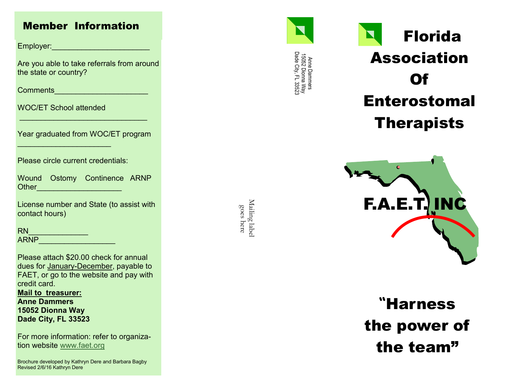## Member Information

Employer:\_\_\_\_\_\_\_\_\_\_\_\_\_\_\_\_\_\_\_\_\_\_\_

Are you able to take referrals from around the state or country?

Comments\_\_\_\_\_\_\_\_\_\_\_\_\_\_\_\_\_\_\_\_\_\_

WOC/ET School attended

 $\mathcal{L}_\text{max}$  , we have the set of the set of the set of the set of the set of the set of the set of the set of the set of the set of the set of the set of the set of the set of the set of the set of the set of the set of

Year graduated from WOC/ET program

 $\mathcal{L}_\text{max}$  and  $\mathcal{L}_\text{max}$  and  $\mathcal{L}_\text{max}$  and  $\mathcal{L}_\text{max}$ 

Please circle current credentials:

Wound Ostomy Continence ARNP Other\_\_\_\_\_\_\_\_\_\_\_\_\_\_\_\_\_\_\_\_

License number and State (to assist with contact hours)

RN\_\_\_\_\_\_\_\_\_\_\_\_\_\_ ARNP\_\_\_\_\_\_\_\_\_\_\_\_\_\_\_\_\_\_

Please attach \$20.00 check for annual dues for January-December, payable to FAET, or go to the website and pay with credit card.

**Mail to treasurer: Anne Dammers 15052 Dionna Way Dade City, FL 33523**

For more information: refer to organization website [www.faet.org](http://www.faet.org/)

Brochure developed by Kathryn Dere and Barbara Bagby Revised 2/6/16 Kathryn Dere

Mailing labe Mailing label goes here



Anne Dammers<br>15052 Dionna Way<br>Dade City, FL 33523 Dade City, FL 33523 15052 Dionna Way Anne Dammers

# Florida Association Of Enterostomal Therapists



**"**Harness the power of the team"